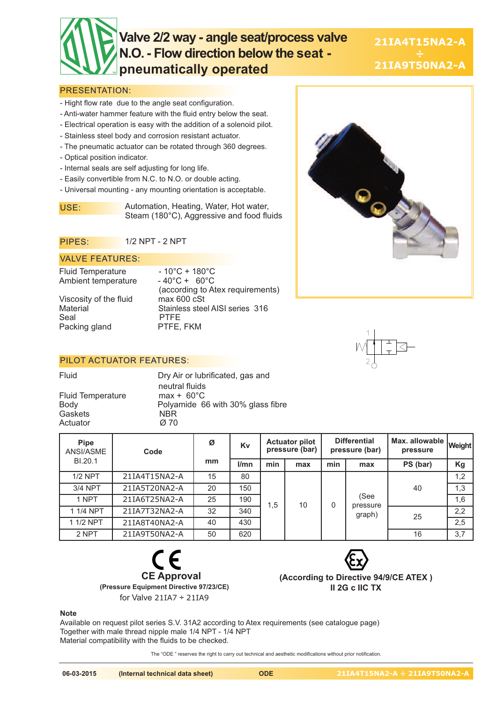# **Valve 2/2 way - angle seat/process valve N.O. - Flow direction below the seat pneumatically operated**

**21IA4T15NA2-A 21IA9T50NA2-A**

#### PRESENTATION:

- Hight flow rate due to the angle seat configuration.
- Anti-water hammer feature with the fluid entry below the seat.
- Electrical operation is easy with the addition of a solenoid pilot.
- Stainless steel body and corrosion resistant actuator.
- The pneumatic actuator can be rotated through 360 degrees.
- Optical position indicator.
- Internal seals are self adjusting for long life.
- Easily convertible from N.C. to N.O. or double acting.
- Universal mounting any mounting orientation is acceptable.

USE: Automation, Heating, Water, Hot water, Steam (180°C), Aggressive and food fluids

#### PIPES: 1/2 NPT - 2 NPT

#### VALVE FEATURES:

Fluid Temperature - 10°C + 180°C<br>Ambient temperature - 40°C + 60°C Ambient temperature

Viscosity of the fluid max 600 cSt<br>Material Stainless stee Seal PTFE<br>Packing gland PTFE, FKM Packing gland

(according to Atex requirements) Stainless steel AISI series 316

### PILOT ACTUATOR FEATURES:

Fluid Temperature Gaskets NBR Actuator

Fluid Dry Air or lubrificated, gas and neutral fluids<br>max + 60°C Body Polyamide 66 with 30% glass fibre

| <b>Pipe</b><br>ANSI/ASME | Code          | Ø  | Kv   | <b>Actuator pilot</b><br>pressure (bar) |     | <b>Differential</b><br>pressure (bar) |                            | Max. allowable  <br>pressure | <b>Weight</b> |
|--------------------------|---------------|----|------|-----------------------------------------|-----|---------------------------------------|----------------------------|------------------------------|---------------|
| BI.20.1                  |               | mm | l/mn | min                                     | max | min                                   | max                        | PS (bar)                     | Kg            |
| $1/2$ NPT                | 21IA4T15NA2-A | 15 | 80   |                                         | 10  | 0                                     | (See<br>pressure<br>graph) | 40                           | 1,2           |
| 3/4 NPT                  | 21IA5T20NA2-A | 20 | 150  |                                         |     |                                       |                            |                              | 1,3           |
| 1 NPT                    | 21IA6T25NA2-A | 25 | 190  | 1,5                                     |     |                                       |                            |                              | 1,6           |
| 1 1/4 NPT                | 21IA7T32NA2-A | 32 | 340  |                                         |     |                                       |                            | 25                           | 2,2           |
| 1 1/2 NPT                | 21IA8T40NA2-A | 40 | 430  |                                         |     |                                       |                            |                              | 2,5           |
| 2 NPT                    | 21IA9T50NA2-A | 50 | 620  |                                         |     |                                       |                            | 16                           | 3,7           |





**(According to Directive 94/9/CE ATEX ) II 2G c IIC TX**

#### **Note**

Available on request pilot series S.V. 31A2 according to Atex requirements (see catalogue page) Together with male thread nipple male 1/4 NPT - 1/4 NPT Material compatibility with the fluids to be checked.

The "ODE " reserves the right to carry out technical and aesthetic modifications without prior notification.